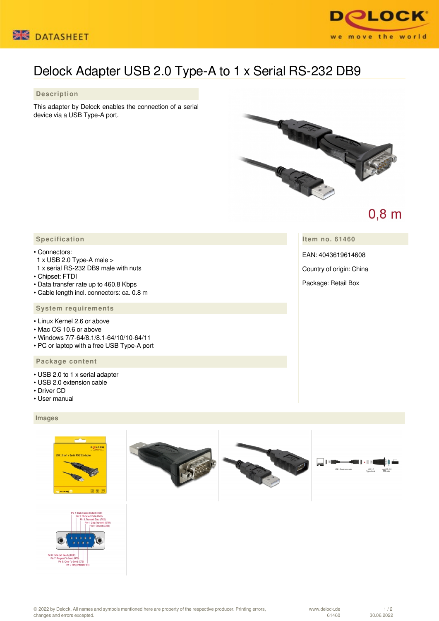



# Delock Adapter USB 2.0 Type-A to 1 x Serial RS-232 DB9

## **Description**

This adapter by Delock enables the connection of a serial device via a USB Type-A port.



## $0,8$  m

 **Specification**

#### • Connectors:

- 1 x USB 2.0 Type-A male >
- 1 x serial RS-232 DB9 male with nuts
- Chipset: FTDI
- Data transfer rate up to 460.8 Kbps
- Cable length incl. connectors: ca. 0.8 m

### **System requirements**

- Linux Kernel 2.6 or above
- Mac OS 10.6 or above
- Windows 7/7-64/8.1/8.1-64/10/10-64/11
- PC or laptop with a free USB Type-A port

#### **Package content**

- USB 2.0 to 1 x serial adapter
- USB 2.0 extension cable
- Driver CD
- User manual

#### **Images**







© 2022 by Delock. All names and symbols mentioned here are property of the respective producer. Printing errors, changes and errors excepted.

**Item no. 61460**

EAN: 4043619614608

Country of origin: China

Package: Retail Box